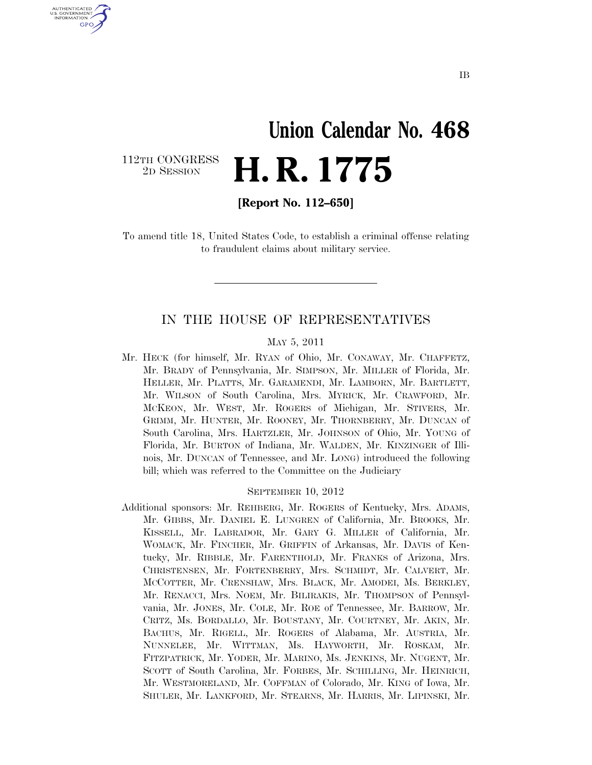# **Union Calendar No. 468**  2D SESSION **H. R. 1775**

112TH CONGRESS<br>2D SESSION

U.S. GOVERNMENT **GPO** 

**[Report No. 112–650]** 

To amend title 18, United States Code, to establish a criminal offense relating to fraudulent claims about military service.

### IN THE HOUSE OF REPRESENTATIVES

#### MAY 5, 2011

Mr. HECK (for himself, Mr. RYAN of Ohio, Mr. CONAWAY, Mr. CHAFFETZ, Mr. BRADY of Pennsylvania, Mr. SIMPSON, Mr. MILLER of Florida, Mr. HELLER, Mr. PLATTS, Mr. GARAMENDI, Mr. LAMBORN, Mr. BARTLETT, Mr. WILSON of South Carolina, Mrs. MYRICK, Mr. CRAWFORD, Mr. MCKEON, Mr. WEST, Mr. ROGERS of Michigan, Mr. STIVERS, Mr. GRIMM, Mr. HUNTER, Mr. ROONEY, Mr. THORNBERRY, Mr. DUNCAN of South Carolina, Mrs. HARTZLER, Mr. JOHNSON of Ohio, Mr. YOUNG of Florida, Mr. BURTON of Indiana, Mr. WALDEN, Mr. KINZINGER of Illinois, Mr. DUNCAN of Tennessee, and Mr. LONG) introduced the following bill; which was referred to the Committee on the Judiciary

#### SEPTEMBER 10, 2012

Additional sponsors: Mr. REHBERG, Mr. ROGERS of Kentucky, Mrs. ADAMS, Mr. GIBBS, Mr. DANIEL E. LUNGREN of California, Mr. BROOKS, Mr. KISSELL, Mr. LABRADOR, Mr. GARY G. MILLER of California, Mr. WOMACK, Mr. FINCHER, Mr. GRIFFIN of Arkansas, Mr. DAVIS of Kentucky, Mr. RIBBLE, Mr. FARENTHOLD, Mr. FRANKS of Arizona, Mrs. CHRISTENSEN, Mr. FORTENBERRY, Mrs. SCHMIDT, Mr. CALVERT, Mr. MCCOTTER, Mr. CRENSHAW, Mrs. BLACK, Mr. AMODEI, Ms. BERKLEY, Mr. RENACCI, Mrs. NOEM, Mr. BILIRAKIS, Mr. THOMPSON of Pennsylvania, Mr. JONES, Mr. COLE, Mr. ROE of Tennessee, Mr. BARROW, Mr. CRITZ, Ms. BORDALLO, Mr. BOUSTANY, Mr. COURTNEY, Mr. AKIN, Mr. BACHUS, Mr. RIGELL, Mr. ROGERS of Alabama, Mr. AUSTRIA, Mr. NUNNELEE, Mr. WITTMAN, Ms. HAYWORTH, Mr. ROSKAM, Mr. FITZPATRICK, Mr. YODER, Mr. MARINO, Ms. JENKINS, Mr. NUGENT, Mr. SCOTT of South Carolina, Mr. FORBES, Mr. SCHILLING, Mr. HEINRICH, Mr. WESTMORELAND, Mr. COFFMAN of Colorado, Mr. KING of Iowa, Mr. SHULER, Mr. LANKFORD, Mr. STEARNS, Mr. HARRIS, Mr. LIPINSKI, Mr.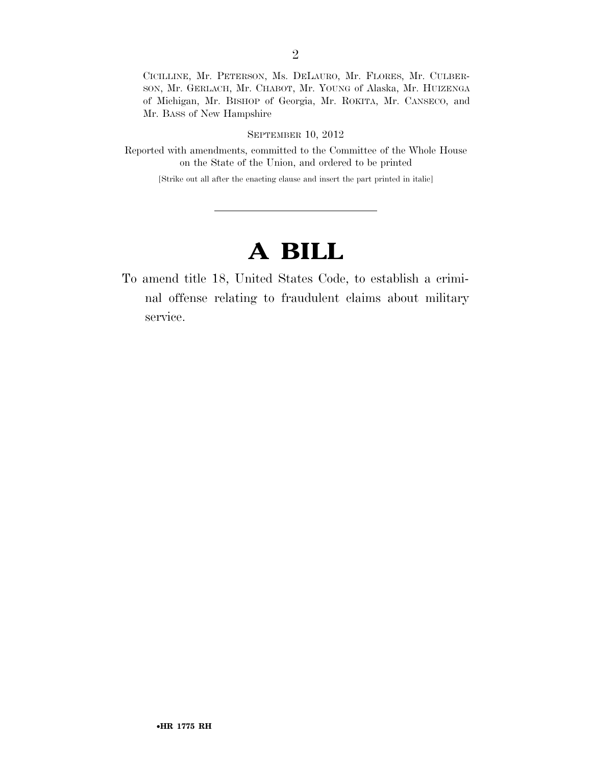CICILLINE, Mr. PETERSON, Ms. DELAURO, Mr. FLORES, Mr. CULBER-SON, Mr. GERLACH, Mr. CHABOT, Mr. YOUNG of Alaska, Mr. HUIZENGA of Michigan, Mr. BISHOP of Georgia, Mr. ROKITA, Mr. CANSECO, and Mr. BASS of New Hampshire

#### SEPTEMBER 10, 2012

Reported with amendments, committed to the Committee of the Whole House on the State of the Union, and ordered to be printed

[Strike out all after the enacting clause and insert the part printed in italic]

### **A BILL**

To amend title 18, United States Code, to establish a criminal offense relating to fraudulent claims about military service.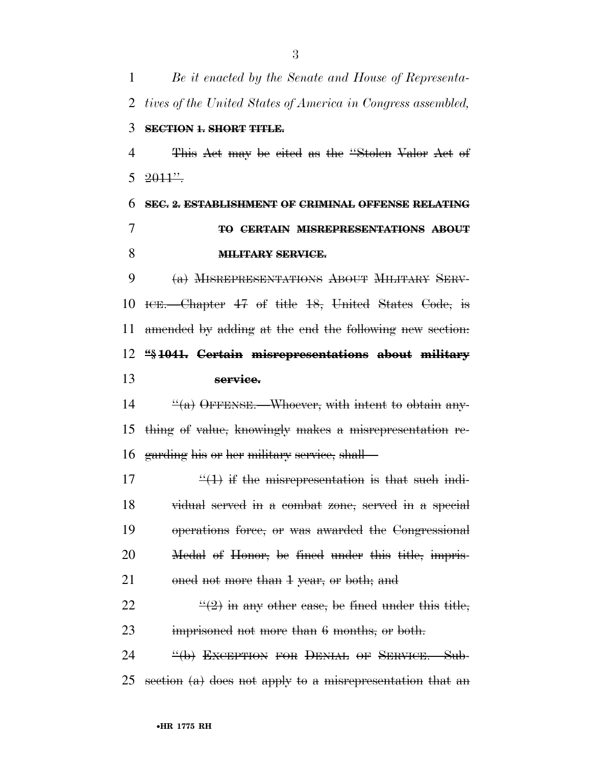*Be it enacted by the Senate and House of Representa- tives of the United States of America in Congress assembled,*  **SECTION 1. SHORT TITLE.**  This Act may be cited as the ''Stolen Valor Act of  $5 \frac{2011''}{.}$  **SEC. 2. ESTABLISHMENT OF CRIMINAL OFFENSE RELATING TO CERTAIN MISREPRESENTATIONS ABOUT MILITARY SERVICE.**  (a) MISREPRESENTATIONS ABOUT MILITARY SERV- ICE.—Chapter 47 of title 18, United States Code, is amended by adding at the end the following new section: **''§ 1041. Certain misrepresentations about military service.**  ''(a) OFFENSE. Whoever, with intent to obtain any- thing of value, knowingly makes a misrepresentation re- garding his or her military service, shall—  $\frac{u(1)}{1}$  if the misrepresentation is that such indi- vidual served in a combat zone, served in a special operations force, or was awarded the Congressional Medal of Honor, be fined under this title, impris-21 oned not more than 1 year, or both; and  $\frac{((2)}{)}$  in any other case, be fined under this title, 23 imprisoned not more than 6 months, or both.

24 <sup>"</sup>(b) EXCEPTION FOR DENIAL OF SERVICE.—Sub-25 section  $(a)$  does not apply to a misrepresentation that an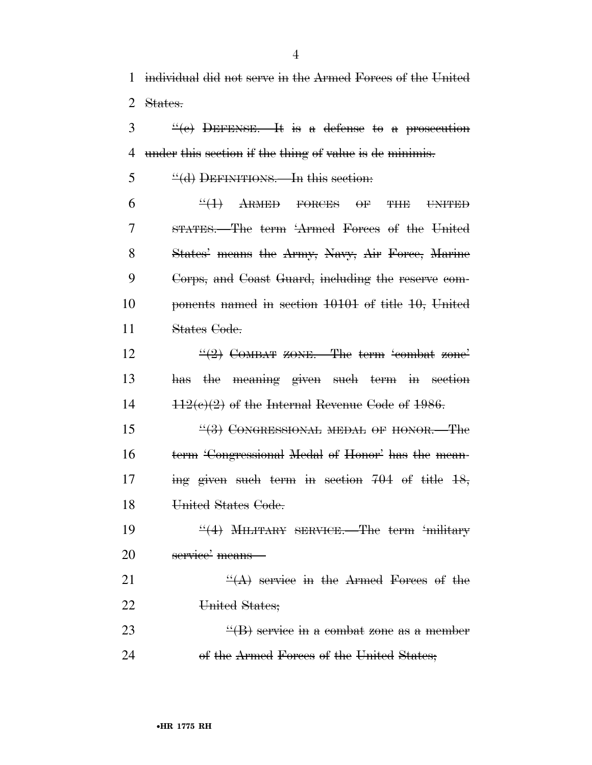$\frac{3}{2}$  ''(e) DEFENSE.—It is a defense to a prosecution 4 under this section if the thing of value is de minimis.

5 "(d) DEFINITIONS.—In this section:

 $6 \frac{4}{1}$  ARMED FORCES OF THE UNITED STATES.—The term 'Armed Forces of the United 8 States' means the Army, Navy, Air Force, Marine Corps, and Coast Guard, including the reserve com- ponents named in section 10101 of title 10, United States Code.

12  $\frac{((2)}{2}$  COMBAT ZONE. The term 'combat zone' 13 has the meaning given such term in section 14  $112(e)(2)$  of the Internal Revenue Code of 1986.

15 "(3) CONGRESSIONAL MEDAL OF HONOR. The 16 term 'Congressional Medal of Honor' has the mean-17 ing given such term in section 704 of title 18, 18 United States Code.

19  $\frac{4}{4}$  MILITARY SERVICE. The term 'military 20 service' means—

21  $\frac{4}{(A)}$  service in the Armed Forces of the 22 United States;

23  $\frac{4}{18}$  service in a combat zone as a member 24 of the Armed Forces of the United States;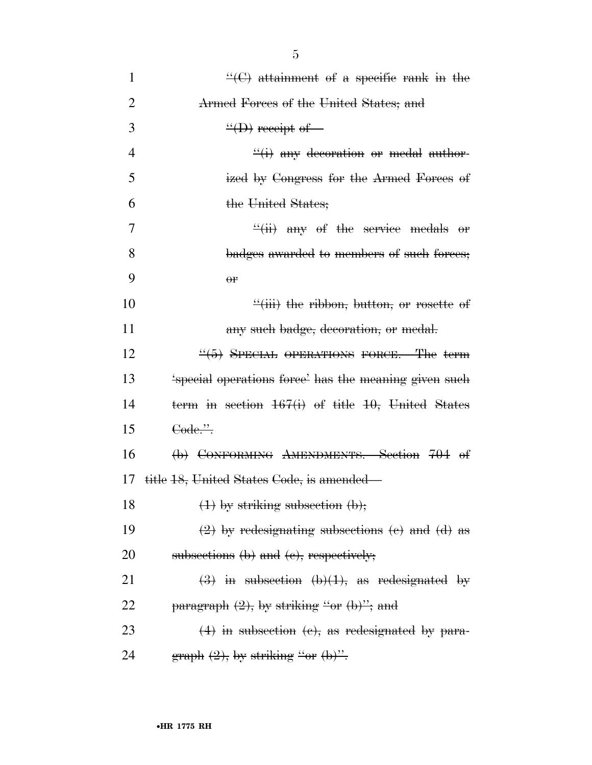| $\mathbf{1}$   | $\frac{H}{C}(\mathbf{C})$ attainment of a specific rank in the                           |
|----------------|------------------------------------------------------------------------------------------|
| $\overline{2}$ | Armed Forces of the United States; and                                                   |
| 3              | $\frac{``(D)}{``(D)}$ receipt of-                                                        |
| $\overline{4}$ | $\frac{d}{dx}$ any decoration or medal author-                                           |
| 5              | ized by Congress for the Armed Forces of                                                 |
| 6              | the United States;                                                                       |
| 7              | $\frac{f'(ii)}{i}$ any of the service medals or                                          |
| 8              | badges awarded to members of such forces;                                                |
| 9              | $\theta$                                                                                 |
| 10             | $\frac{1}{2}$ (iii) the ribbon, button, or rosette of                                    |
| 11             | any such badge, decoration, or medal.                                                    |
| 12             | $\frac{4}{5}$ SPECIAL OPERATIONS FORCE.—The term                                         |
| 13             | 'special operations force' has the meaning given such                                    |
| 14             | term in section $167(i)$ of title 10, United States                                      |
| 15             | Code.".                                                                                  |
| 16             | (b) CONFORMING AMENDMENTS.—Section 704 of                                                |
| 17             | title 18, United States Code, is amended—                                                |
| 18             | $(1)$ by striking subsection $(b)$ ;                                                     |
| 19             | $(2)$ by redesignating subsections (e) and (d) as                                        |
| 20             | subsections (b) and (c), respectively;                                                   |
| 21             | $\left(\frac{3}{2}\right)$ in subsection $\left(\frac{b}{1}\right)$ , as redesignated by |
| 22             | $\frac{1}{2}$ paragraph $(2)$ , by striking "or $(b)$ "; and                             |
| 23             | $(4)$ in subsection $(e)$ , as redesignated by para-                                     |
| 24             | graph $(2)$ , by striking "or $(b)$ ".                                                   |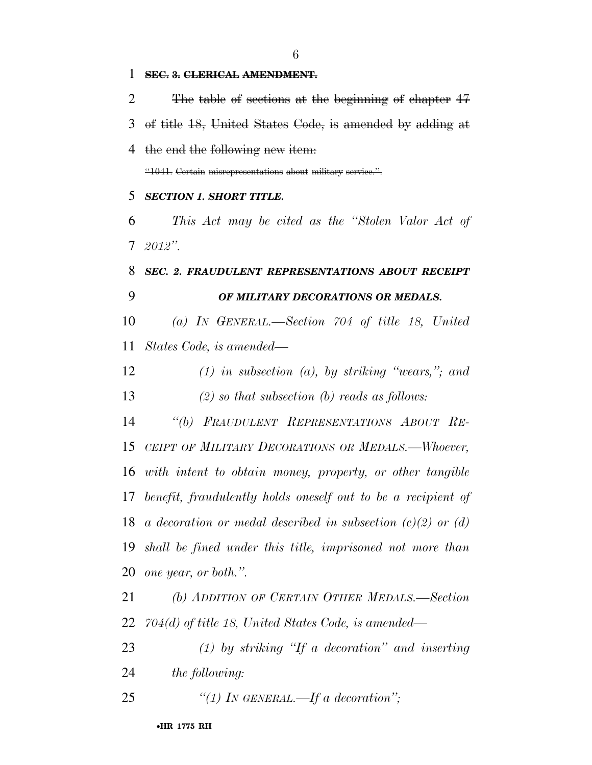**SEC. 3. CLERICAL AMENDMENT.**  The table of sections at the beginning of chapter 47 of title 18, United States Code, is amended by adding at the end the following new item: ''1041. Certain misrepresentations about military service.''. *SECTION 1. SHORT TITLE. This Act may be cited as the ''Stolen Valor Act of 2012''. SEC. 2. FRAUDULENT REPRESENTATIONS ABOUT RECEIPT OF MILITARY DECORATIONS OR MEDALS. (a) IN GENERAL.—Section 704 of title 18, United States Code, is amended— (1) in subsection (a), by striking ''wears,''; and (2) so that subsection (b) reads as follows: ''(b) FRAUDULENT REPRESENTATIONS ABOUT RE- CEIPT OF MILITARY DECORATIONS OR MEDALS.—Whoever, with intent to obtain money, property, or other tangible benefit, fraudulently holds oneself out to be a recipient of a decoration or medal described in subsection (c)(2) or (d) shall be fined under this title, imprisoned not more than one year, or both.''. (b) ADDITION OF CERTAIN OTHER MEDALS.—Section 704(d) of title 18, United States Code, is amended— (1) by striking ''If a decoration'' and inserting the following: ''(1) IN GENERAL.—If a decoration'';*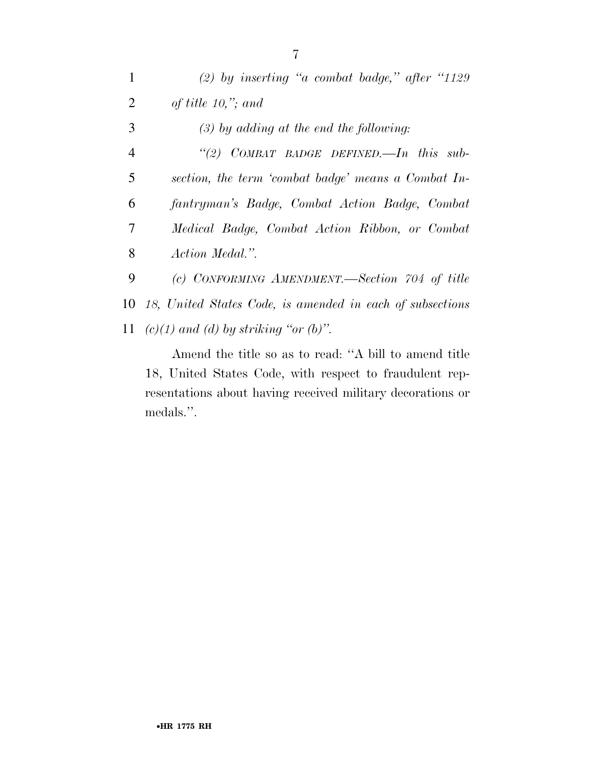| $\mathbf{1}$   | (2) by inserting "a combat badge," after "1129"              |
|----------------|--------------------------------------------------------------|
| 2              | of title $10,$ "; and                                        |
| 3              | $(3)$ by adding at the end the following:                    |
| $\overline{4}$ | "(2) COMBAT BADGE DEFINED.—In this sub-                      |
| 5              | section, the term 'combat badge' means a Combat In-          |
| 6              | fantryman's Badge, Combat Action Badge, Combat               |
| 7              | Medical Badge, Combat Action Ribbon, or Combat               |
| 8              | Action Medal.".                                              |
| 9              | (c) CONFORMING AMENDMENT.—Section 704 of title               |
|                | 10 18, United States Code, is amended in each of subsections |
|                | 11 (c)(1) and (d) by striking "or (b)".                      |

Amend the title so as to read: ''A bill to amend title 18, United States Code, with respect to fraudulent representations about having received military decorations or medals.''.